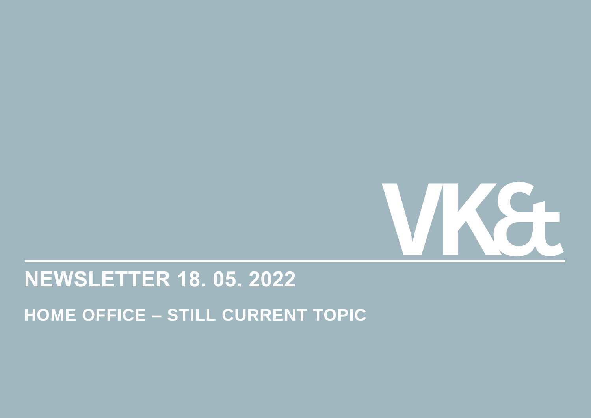

## **NEWSLETTER 18. 05. 2022**

**HOME OFFICE – STILL CURRENT TOPIC**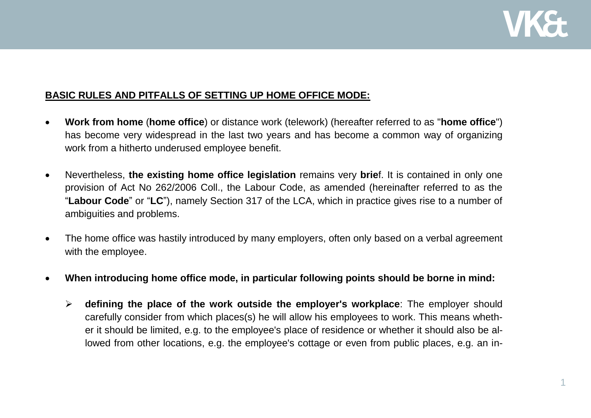

## **BASIC RULES AND PITFALLS OF SETTING UP HOME OFFICE MODE:**

- **Work from home** (**home office**) or distance work (telework) (hereafter referred to as "**home office**") has become very widespread in the last two years and has become a common way of organizing work from a hitherto underused employee benefit.
- Nevertheless, **the existing home office legislation** remains very **brie**f. It is contained in only one provision of Act No 262/2006 Coll., the Labour Code, as amended (hereinafter referred to as the "**Labour Code**" or "**LC**"), namely Section 317 of the LCA, which in practice gives rise to a number of ambiguities and problems.
- The home office was hastily introduced by many employers, often only based on a verbal agreement with the employee.
- **When introducing home office mode, in particular following points should be borne in mind:** 
	- **defining the place of the work outside the employer's workplace**: The employer should carefully consider from which places(s) he will allow his employees to work. This means whether it should be limited, e.g. to the employee's place of residence or whether it should also be allowed from other locations, e.g. the employee's cottage or even from public places, e.g. an in-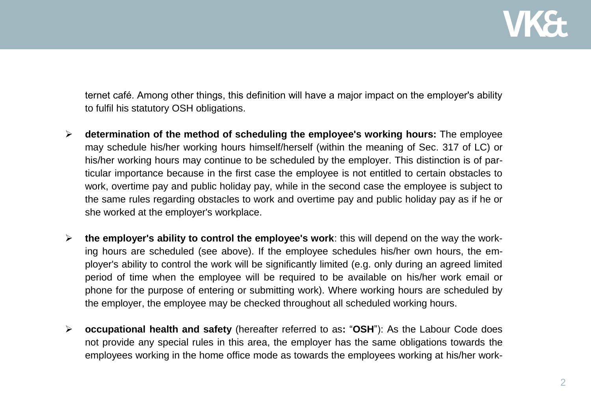

ternet café. Among other things, this definition will have a major impact on the employer's ability to fulfil his statutory OSH obligations.

- **determination of the method of scheduling the employee's working hours:** The employee may schedule his/her working hours himself/herself (within the meaning of Sec. 317 of LC) or his/her working hours may continue to be scheduled by the employer. This distinction is of particular importance because in the first case the employee is not entitled to certain obstacles to work, overtime pay and public holiday pay, while in the second case the employee is subject to the same rules regarding obstacles to work and overtime pay and public holiday pay as if he or she worked at the employer's workplace.
- **the employer's ability to control the employee's work**: this will depend on the way the working hours are scheduled (see above). If the employee schedules his/her own hours, the employer's ability to control the work will be significantly limited (e.g. only during an agreed limited period of time when the employee will be required to be available on his/her work email or phone for the purpose of entering or submitting work). Where working hours are scheduled by the employer, the employee may be checked throughout all scheduled working hours.
- **occupational health and safety** (hereafter referred to as**:** "**OSH**"): As the Labour Code does not provide any special rules in this area, the employer has the same obligations towards the employees working in the home office mode as towards the employees working at his/her work-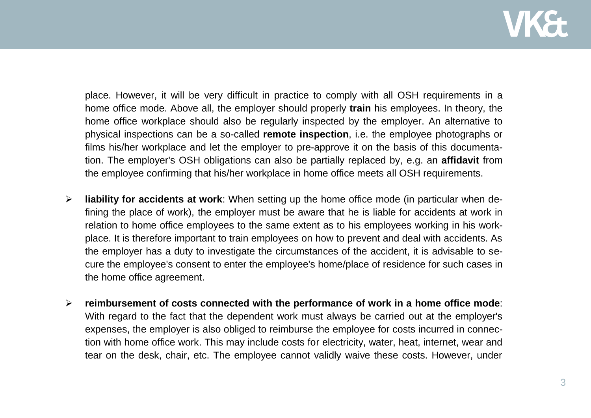place. However, it will be very difficult in practice to comply with all OSH requirements in a home office mode. Above all, the employer should properly **train** his employees. In theory, the home office workplace should also be regularly inspected by the employer. An alternative to physical inspections can be a so-called **remote inspection**, i.e. the employee photographs or films his/her workplace and let the employer to pre-approve it on the basis of this documentation. The employer's OSH obligations can also be partially replaced by, e.g. an **affidavit** from the employee confirming that his/her workplace in home office meets all OSH requirements.

- **liability for accidents at work**: When setting up the home office mode (in particular when defining the place of work), the employer must be aware that he is liable for accidents at work in relation to home office employees to the same extent as to his employees working in his workplace. It is therefore important to train employees on how to prevent and deal with accidents. As the employer has a duty to investigate the circumstances of the accident, it is advisable to secure the employee's consent to enter the employee's home/place of residence for such cases in the home office agreement.
- **reimbursement of costs connected with the performance of work in a home office mode**: With regard to the fact that the dependent work must always be carried out at the employer's expenses, the employer is also obliged to reimburse the employee for costs incurred in connection with home office work. This may include costs for electricity, water, heat, internet, wear and tear on the desk, chair, etc. The employee cannot validly waive these costs. However, under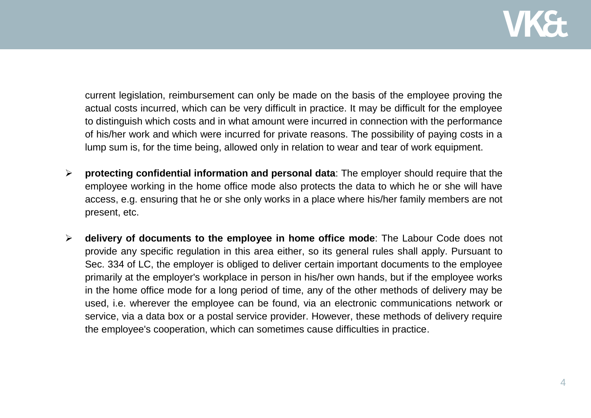

current legislation, reimbursement can only be made on the basis of the employee proving the actual costs incurred, which can be very difficult in practice. It may be difficult for the employee to distinguish which costs and in what amount were incurred in connection with the performance of his/her work and which were incurred for private reasons. The possibility of paying costs in a lump sum is, for the time being, allowed only in relation to wear and tear of work equipment.

- **protecting confidential information and personal data**: The employer should require that the employee working in the home office mode also protects the data to which he or she will have access, e.g. ensuring that he or she only works in a place where his/her family members are not present, etc.
- **delivery of documents to the employee in home office mode**: The Labour Code does not provide any specific regulation in this area either, so its general rules shall apply. Pursuant to Sec. 334 of LC, the employer is obliged to deliver certain important documents to the employee primarily at the employer's workplace in person in his/her own hands, but if the employee works in the home office mode for a long period of time, any of the other methods of delivery may be used, i.e. wherever the employee can be found, via an electronic communications network or service, via a data box or a postal service provider. However, these methods of delivery require the employee's cooperation, which can sometimes cause difficulties in practice.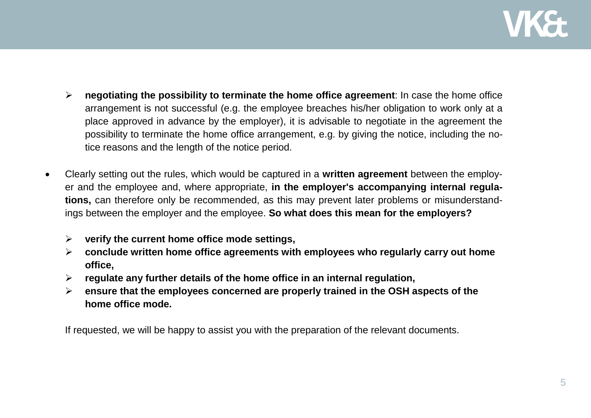

- **negotiating the possibility to terminate the home office agreement**: In case the home office arrangement is not successful (e.g. the employee breaches his/her obligation to work only at a place approved in advance by the employer), it is advisable to negotiate in the agreement the possibility to terminate the home office arrangement, e.g. by giving the notice, including the notice reasons and the length of the notice period.
- Clearly setting out the rules, which would be captured in a **written agreement** between the employer and the employee and, where appropriate, **in the employer's accompanying internal regulations,** can therefore only be recommended, as this may prevent later problems or misunderstandings between the employer and the employee. **So what does this mean for the employers?**
	- **verify the current home office mode settings,**
	- **conclude written home office agreements with employees who regularly carry out home office,**
	- **regulate any further details of the home office in an internal regulation,**
	- **ensure that the employees concerned are properly trained in the OSH aspects of the home office mode.**

If requested, we will be happy to assist you with the preparation of the relevant documents.